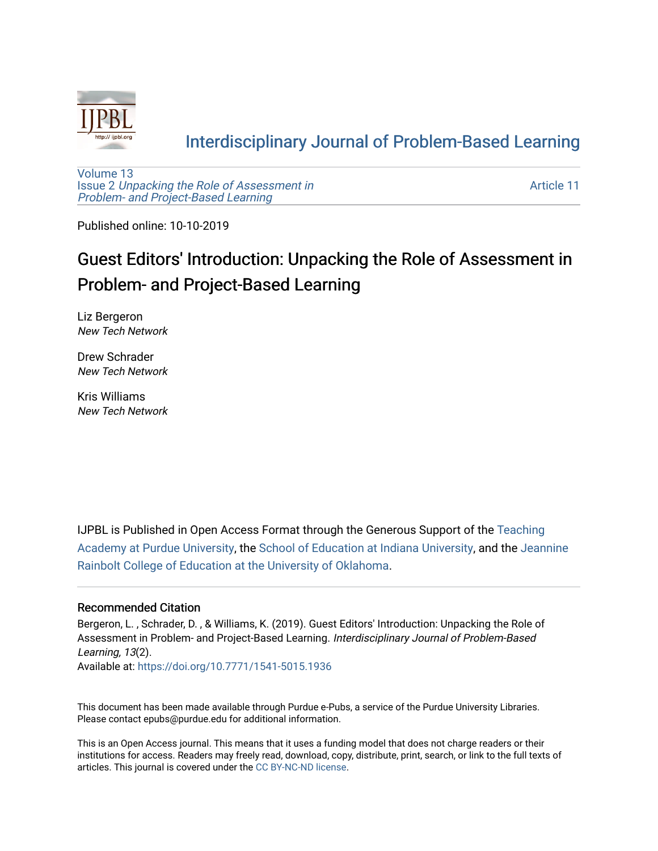

#### [Interdisciplinary Journal of Problem-Based Learning](https://docs.lib.purdue.edu/ijpbl)

[Volume 13](https://docs.lib.purdue.edu/ijpbl/vol13) Issue 2 [Unpacking the Role of Assessment in](https://docs.lib.purdue.edu/ijpbl/vol13/iss2)  [Problem- and Project-Based Learning](https://docs.lib.purdue.edu/ijpbl/vol13/iss2)

[Article 11](https://docs.lib.purdue.edu/ijpbl/vol13/iss2/11) 

Published online: 10-10-2019

### Guest Editors' Introduction: Unpacking the Role of Assessment in Problem- and Project-Based Learning

Liz Bergeron New Tech Network

Drew Schrader New Tech Network

Kris Williams New Tech Network

IJPBL is Published in Open Access Format through the Generous Support of the [Teaching](https://www.purdue.edu/cie/aboutus/teachingacademy.html) [Academy at Purdue University](https://www.purdue.edu/cie/aboutus/teachingacademy.html), the [School of Education at Indiana University,](https://education.indiana.edu/index.html) and the [Jeannine](http://ou.edu/education) [Rainbolt College of Education at the University of Oklahoma](http://ou.edu/education).

#### Recommended Citation

Bergeron, L. , Schrader, D. , & Williams, K. (2019). Guest Editors' Introduction: Unpacking the Role of Assessment in Problem- and Project-Based Learning. Interdisciplinary Journal of Problem-Based Learning, 13(2).

Available at:<https://doi.org/10.7771/1541-5015.1936>

This document has been made available through Purdue e-Pubs, a service of the Purdue University Libraries. Please contact epubs@purdue.edu for additional information.

This is an Open Access journal. This means that it uses a funding model that does not charge readers or their institutions for access. Readers may freely read, download, copy, distribute, print, search, or link to the full texts of articles. This journal is covered under the [CC BY-NC-ND license](https://creativecommons.org/licenses/by-nc-nd/4.0/).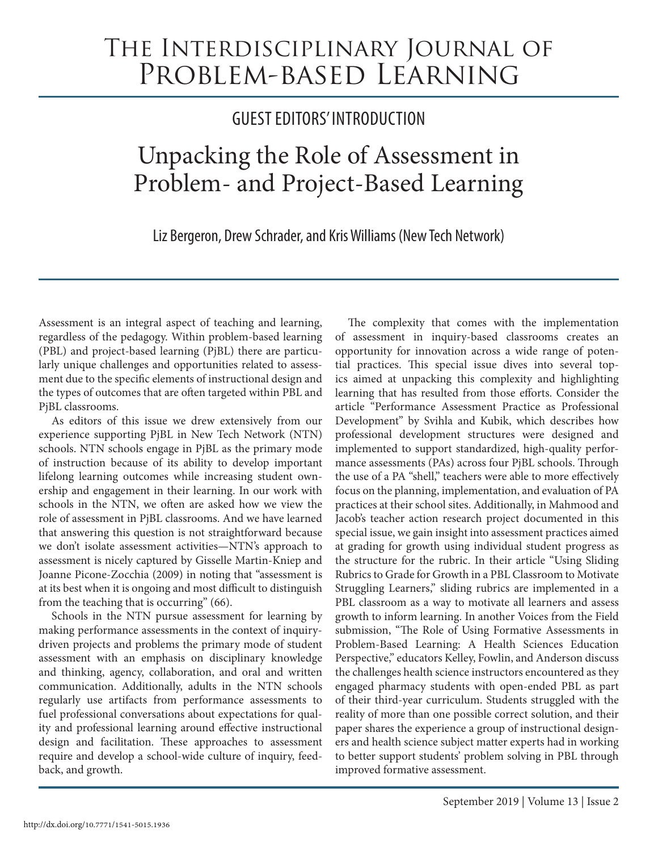## The Interdisciplinary Journal of PROBLEM-BASED LEARNING

### GUEST EDITORS' INTRODUCTION

# Unpacking the Role of Assessment in Problem- and Project-Based Learning

Liz Bergeron, Drew Schrader, and Kris Williams (New Tech Network)

Assessment is an integral aspect of teaching and learning, regardless of the pedagogy. Within problem-based learning (PBL) and project-based learning (PjBL) there are particularly unique challenges and opportunities related to assessment due to the specific elements of instructional design and the types of outcomes that are often targeted within PBL and PjBL classrooms.

As editors of this issue we drew extensively from our experience supporting PjBL in New Tech Network (NTN) schools. NTN schools engage in PjBL as the primary mode of instruction because of its ability to develop important lifelong learning outcomes while increasing student ownership and engagement in their learning. In our work with schools in the NTN, we often are asked how we view the role of assessment in PjBL classrooms. And we have learned that answering this question is not straightforward because we don't isolate assessment activities—NTN's approach to assessment is nicely captured by Gisselle Martin-Kniep and Joanne Picone-Zocchia (2009) in noting that "assessment is at its best when it is ongoing and most difficult to distinguish from the teaching that is occurring" (66).

Schools in the NTN pursue assessment for learning by making performance assessments in the context of inquirydriven projects and problems the primary mode of student assessment with an emphasis on disciplinary knowledge and thinking, agency, collaboration, and oral and written communication. Additionally, adults in the NTN schools regularly use artifacts from performance assessments to fuel professional conversations about expectations for quality and professional learning around effective instructional design and facilitation. These approaches to assessment require and develop a school-wide culture of inquiry, feedback, and growth.

The complexity that comes with the implementation of assessment in inquiry-based classrooms creates an opportunity for innovation across a wide range of potential practices. This special issue dives into several topics aimed at unpacking this complexity and highlighting learning that has resulted from those efforts. Consider the article "Performance Assessment Practice as Professional Development" by Svihla and Kubik, which describes how professional development structures were designed and implemented to support standardized, high-quality performance assessments (PAs) across four PjBL schools. Through the use of a PA "shell," teachers were able to more effectively focus on the planning, implementation, and evaluation of PA practices at their school sites. Additionally, in Mahmood and Jacob's teacher action research project documented in this special issue, we gain insight into assessment practices aimed at grading for growth using individual student progress as the structure for the rubric. In their article "Using Sliding Rubrics to Grade for Growth in a PBL Classroom to Motivate Struggling Learners," sliding rubrics are implemented in a PBL classroom as a way to motivate all learners and assess growth to inform learning. In another Voices from the Field submission, "The Role of Using Formative Assessments in Problem-Based Learning: A Health Sciences Education Perspective," educators Kelley, Fowlin, and Anderson discuss the challenges health science instructors encountered as they engaged pharmacy students with open-ended PBL as part of their third-year curriculum. Students struggled with the reality of more than one possible correct solution, and their paper shares the experience a group of instructional designers and health science subject matter experts had in working to better support students' problem solving in PBL through improved formative assessment.